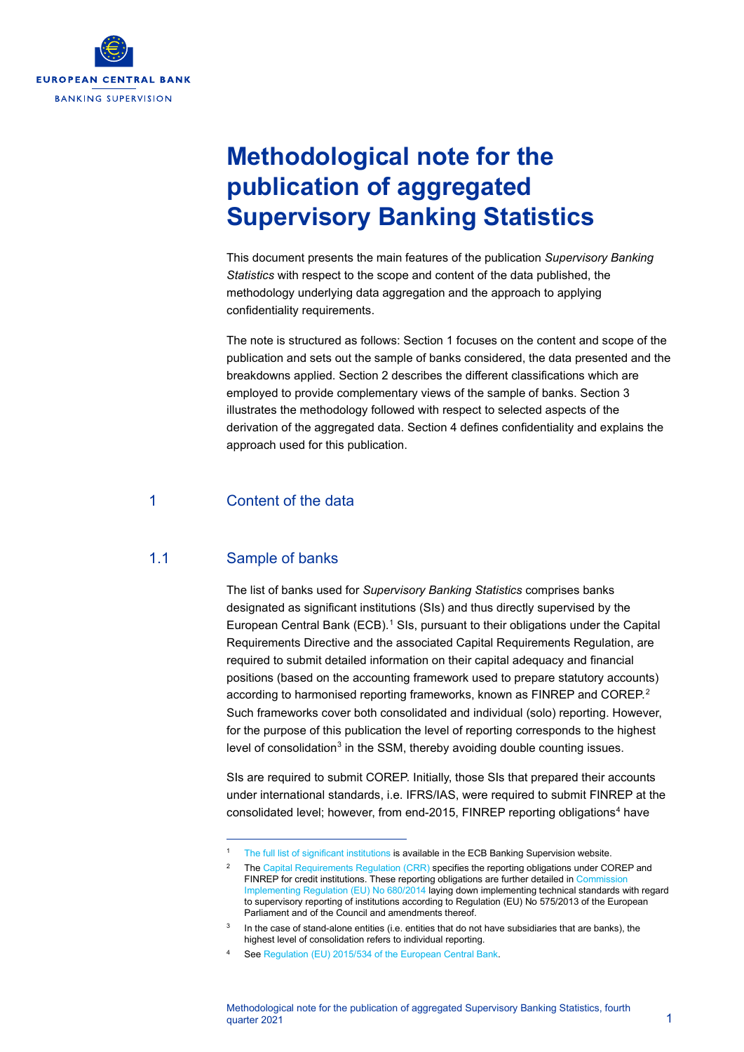

# **Methodological note for the publication of aggregated Supervisory Banking Statistics**

This document presents the main features of the publication *Supervisory Banking Statistics* with respect to the scope and content of the data published, the methodology underlying data aggregation and the approach to applying confidentiality requirements.

The note is structured as follows: Section 1 focuses on the content and scope of the publication and sets out the sample of banks considered, the data presented and the breakdowns applied. Section 2 describes the different classifications which are employed to provide complementary views of the sample of banks. Section 3 illustrates the methodology followed with respect to selected aspects of the derivation of the aggregated data. Section 4 defines confidentiality and explains the approach used for this publication.

#### 1 Content of the data

#### 1.1 Sample of banks

The list of banks used for *Supervisory Banking Statistics* comprises banks designated as significant institutions (SIs) and thus directly supervised by the European Central Bank (ECB).<sup>[1](#page-0-0)</sup> SIs, pursuant to their obligations under the Capital Requirements Directive and the associated Capital Requirements Regulation, are required to submit detailed information on their capital adequacy and financial positions (based on the accounting framework used to prepare statutory accounts) according to harmonised reporting frameworks, known as FINREP and COREP.<sup>[2](#page-0-1)</sup> Such frameworks cover both consolidated and individual (solo) reporting. However, for the purpose of this publication the level of reporting corresponds to the highest level of consolidation<sup>[3](#page-0-2)</sup> in the SSM, thereby avoiding double counting issues.

SIs are required to submit COREP. Initially, those SIs that prepared their accounts under international standards, i.e. IFRS/IAS, were required to submit FINREP at the consolidated level; however, from end-2015, FINREP reporting obligations<sup>[4](#page-0-3)</sup> have

<span id="page-0-1"></span><span id="page-0-0"></span>[The full list of significant institutions](https://www.bankingsupervision.europa.eu/banking/list/who/html/index.en.html) is available in the ECB Banking Supervision website.

Th[e Capital Requirements Regulation \(CRR\)](http://eur-lex.europa.eu/legal-content/EN/TXT/PDF/?uri=CELEX:32013R0575&from=DE) specifies the reporting obligations under COREP and FINREP for credit institutions. These reporting obligations are further detailed in Commission [Implementing Regulation \(EU\) No 680/2014](http://eur-lex.europa.eu/legal-content/EN/TXT/PDF/?uri=CELEX:32014R0680&from=EN) laying down implementing technical standards with regard to supervisory reporting of institutions according to Regulation (EU) No 575/2013 of the European Parliament and of the Council and amendments thereof.

In the case of stand-alone entities (i.e. entities that do not have subsidiaries that are banks), the highest level of consolidation refers to individual reporting.

<span id="page-0-3"></span><span id="page-0-2"></span>Se[e Regulation \(EU\) 2015/534 of the European Central Bank.](https://www.bankingsupervision.europa.eu/ecb/legal/pdf/oj_jol_2015_086_r_0004_en_txt.pdf)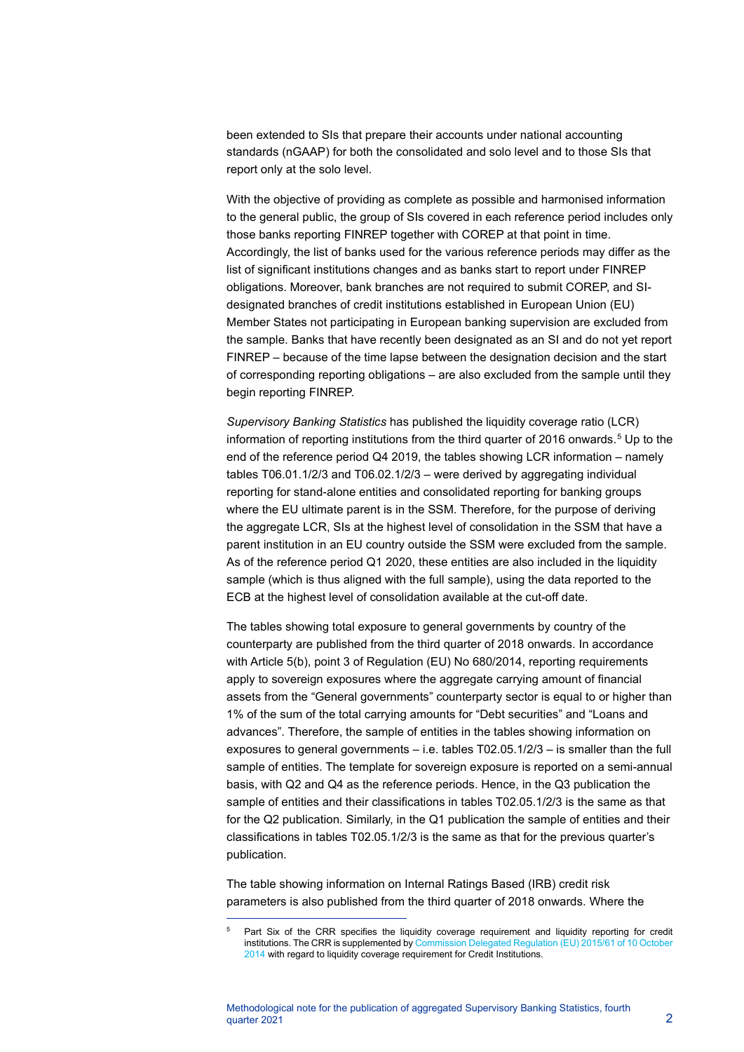been extended to SIs that prepare their accounts under national accounting standards (nGAAP) for both the consolidated and solo level and to those SIs that report only at the solo level.

With the objective of providing as complete as possible and harmonised information to the general public, the group of SIs covered in each reference period includes only those banks reporting FINREP together with COREP at that point in time. Accordingly, the list of banks used for the various reference periods may differ as the list of significant institutions changes and as banks start to report under FINREP obligations. Moreover, bank branches are not required to submit COREP, and SIdesignated branches of credit institutions established in European Union (EU) Member States not participating in European banking supervision are excluded from the sample. Banks that have recently been designated as an SI and do not yet report FINREP – because of the time lapse between the designation decision and the start of corresponding reporting obligations – are also excluded from the sample until they begin reporting FINREP.

*Supervisory Banking Statistics* has published the liquidity coverage ratio (LCR) information of reporting institutions from the third quarter of 2016 onwards.<sup>[5](#page-1-0)</sup> Up to the end of the reference period Q4 2019, the tables showing LCR information – namely tables T06.01.1/2/3 and T06.02.1/2/3 – were derived by aggregating individual reporting for stand-alone entities and consolidated reporting for banking groups where the EU ultimate parent is in the SSM. Therefore, for the purpose of deriving the aggregate LCR, SIs at the highest level of consolidation in the SSM that have a parent institution in an EU country outside the SSM were excluded from the sample. As of the reference period Q1 2020, these entities are also included in the liquidity sample (which is thus aligned with the full sample), using the data reported to the ECB at the highest level of consolidation available at the cut-off date.

The tables showing total exposure to general governments by country of the counterparty are published from the third quarter of 2018 onwards. In accordance with Article 5(b), point 3 of Regulation (EU) No 680/2014, reporting requirements apply to sovereign exposures where the aggregate carrying amount of financial assets from the "General governments" counterparty sector is equal to or higher than 1% of the sum of the total carrying amounts for "Debt securities" and "Loans and advances". Therefore, the sample of entities in the tables showing information on exposures to general governments – i.e. tables T02.05.1/2/3 – is smaller than the full sample of entities. The template for sovereign exposure is reported on a semi-annual basis, with Q2 and Q4 as the reference periods. Hence, in the Q3 publication the sample of entities and their classifications in tables T02.05.1/2/3 is the same as that for the Q2 publication. Similarly, in the Q1 publication the sample of entities and their classifications in tables T02.05.1/2/3 is the same as that for the previous quarter's publication.

The table showing information on Internal Ratings Based (IRB) credit risk parameters is also published from the third quarter of 2018 onwards. Where the

<span id="page-1-0"></span>Part Six of the CRR specifies the liquidity coverage requirement and liquidity reporting for credit institutions. The CRR is supplemented b[y Commission Delegated Regulation \(EU\) 2015/61 of 10 October](http://eur-lex.europa.eu/legal-content/EN/TXT/PDF/?uri=CELEX:32015R0061&from=EN)  [2014](http://eur-lex.europa.eu/legal-content/EN/TXT/PDF/?uri=CELEX:32015R0061&from=EN) with regard to liquidity coverage requirement for Credit Institutions.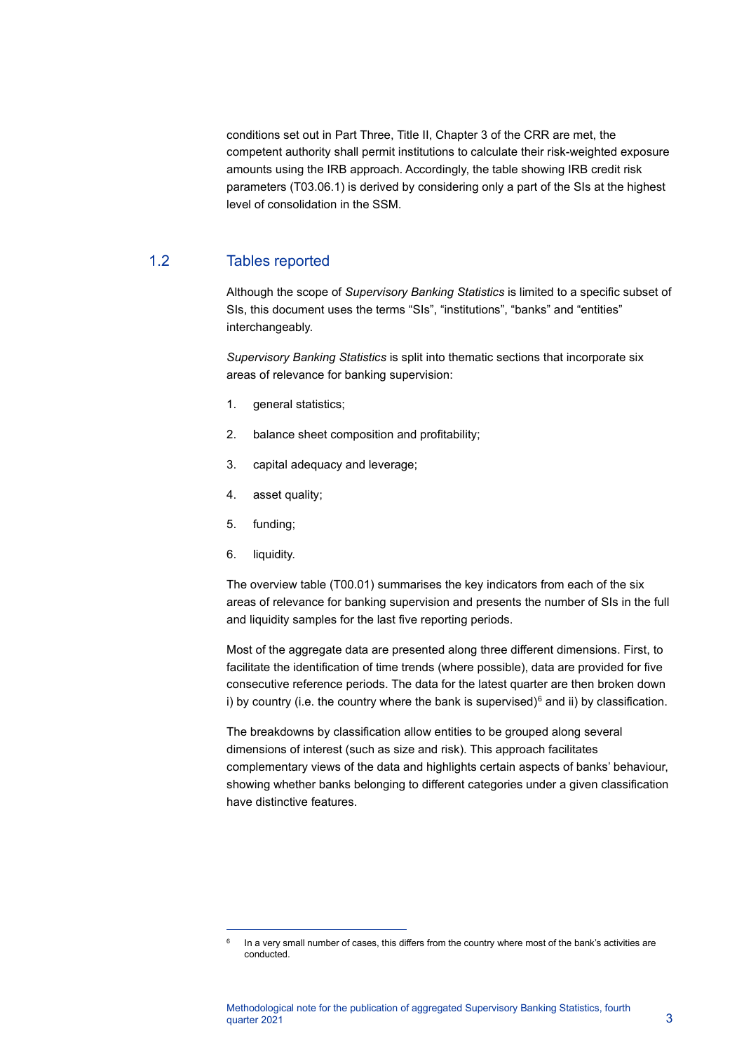conditions set out in Part Three, Title II, Chapter 3 of the CRR are met, the competent authority shall permit institutions to calculate their risk-weighted exposure amounts using the IRB approach. Accordingly, the table showing IRB credit risk parameters (T03.06.1) is derived by considering only a part of the SIs at the highest level of consolidation in the SSM.

#### 1.2 Tables reported

Although the scope of *Supervisory Banking Statistics* is limited to a specific subset of SIs, this document uses the terms "SIs", "institutions", "banks" and "entities" interchangeably.

*Supervisory Banking Statistics* is split into thematic sections that incorporate six areas of relevance for banking supervision:

- 1. general statistics;
- 2. balance sheet composition and profitability;
- 3. capital adequacy and leverage;
- 4. asset quality;
- 5. funding;
- 6. liquidity.

The overview table (T00.01) summarises the key indicators from each of the six areas of relevance for banking supervision and presents the number of SIs in the full and liquidity samples for the last five reporting periods.

Most of the aggregate data are presented along three different dimensions. First, to facilitate the identification of time trends (where possible), data are provided for five consecutive reference periods. The data for the latest quarter are then broken down i) by country (i.e. the country where the bank is supervised) $6$  and ii) by classification.

The breakdowns by classification allow entities to be grouped along several dimensions of interest (such as size and risk). This approach facilitates complementary views of the data and highlights certain aspects of banks' behaviour, showing whether banks belonging to different categories under a given classification have distinctive features.

<span id="page-2-0"></span> $6$  In a very small number of cases, this differs from the country where most of the bank's activities are conducted.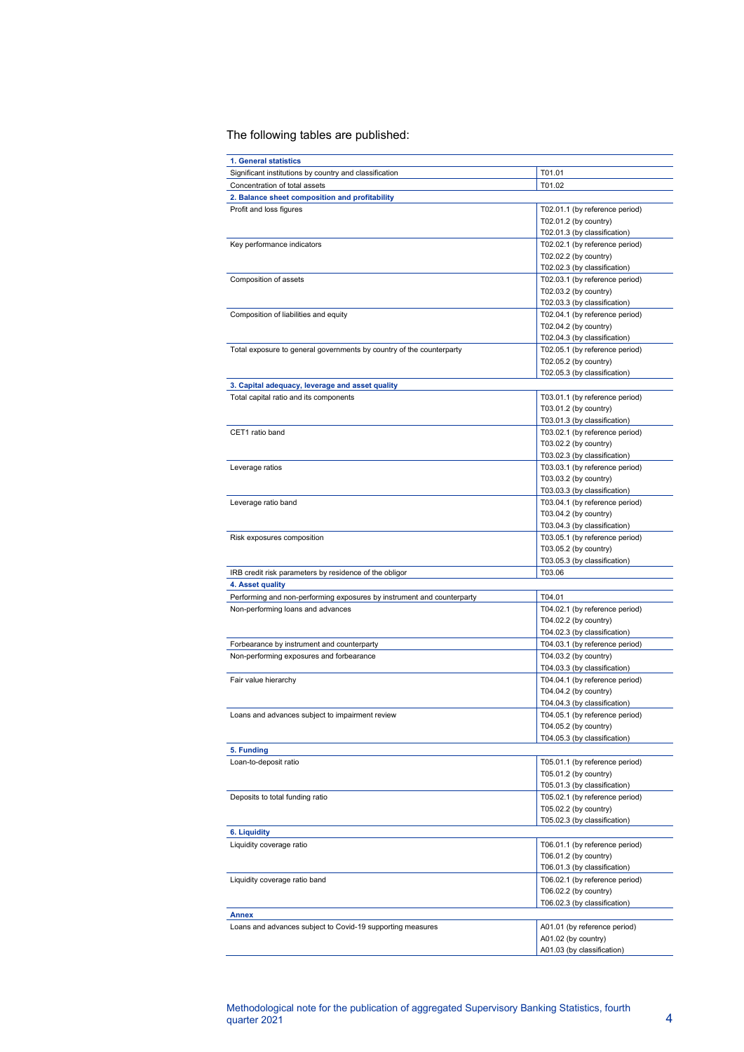#### The following tables are published:

| 1. General statistics                                                  |                                                                                                                           |
|------------------------------------------------------------------------|---------------------------------------------------------------------------------------------------------------------------|
| Significant institutions by country and classification                 | T01.01                                                                                                                    |
| Concentration of total assets                                          | T01.02                                                                                                                    |
| 2. Balance sheet composition and profitability                         |                                                                                                                           |
| Profit and loss figures                                                | T02.01.1 (by reference period)<br>T02.01.2 (by country)                                                                   |
| Key performance indicators                                             | T02.01.3 (by classification)<br>T02.02.1 (by reference period)<br>T02.02.2 (by country)<br>T02.02.3 (by classification)   |
| Composition of assets                                                  | T02.03.1 (by reference period)<br>T02.03.2 (by country)<br>T02.03.3 (by classification)                                   |
| Composition of liabilities and equity                                  | T02.04.1 (by reference period)<br>T02.04.2 (by country)<br>T02.04.3 (by classification)                                   |
| Total exposure to general governments by country of the counterparty   | T02.05.1 (by reference period)<br>T02.05.2 (by country)<br>T02.05.3 (by classification)                                   |
| 3. Capital adequacy, leverage and asset quality                        |                                                                                                                           |
| Total capital ratio and its components<br>CET1 ratio band              | T03.01.1 (by reference period)<br>T03.01.2 (by country)<br>T03.01.3 (by classification)<br>T03.02.1 (by reference period) |
|                                                                        | T03.02.2 (by country)<br>T03.02.3 (by classification)                                                                     |
| Leverage ratios                                                        | T03.03.1 (by reference period)<br>T03.03.2 (by country)<br>T03.03.3 (by classification)                                   |
| Leverage ratio band                                                    | T03.04.1 (by reference period)<br>T03.04.2 (by country)<br>T03.04.3 (by classification)                                   |
| Risk exposures composition                                             | T03.05.1 (by reference period)<br>T03.05.2 (by country)<br>T03.05.3 (by classification)                                   |
| IRB credit risk parameters by residence of the obligor                 | T03.06                                                                                                                    |
| 4. Asset quality                                                       |                                                                                                                           |
| Performing and non-performing exposures by instrument and counterparty | T04.01                                                                                                                    |
| Non-performing loans and advances                                      | T04.02.1 (by reference period)<br>T04.02.2 (by country)<br>T04.02.3 (by classification)                                   |
| Forbearance by instrument and counterparty                             | T04.03.1 (by reference period)                                                                                            |
| Non-performing exposures and forbearance                               | T04.03.2 (by country)<br>T04.03.3 (by classification)                                                                     |
| Fair value hierarchy                                                   | T04.04.1 (by reference period)<br>T04.04.2 (by country)<br>T04.04.3 (by classification)                                   |
| Loans and advances subject to impairment review                        | T04.05.1 (by reference period)<br>T04.05.2 (by country)<br>T04.05.3 (by classification)                                   |
| 5. Funding                                                             |                                                                                                                           |
| Loan-to-deposit ratio                                                  | T05.01.1 (by reference period)<br>T05.01.2 (by country)<br>T05.01.3 (by classification)                                   |
| Deposits to total funding ratio                                        | T05.02.1 (by reference period)<br>T05.02.2 (by country)<br>T05.02.3 (by classification)                                   |
| 6. Liquidity                                                           |                                                                                                                           |
| Liquidity coverage ratio                                               | T06.01.1 (by reference period)<br>T06.01.2 (by country)<br>T06.01.3 (by classification)                                   |
| Liquidity coverage ratio band                                          | T06.02.1 (by reference period)<br>T06.02.2 (by country)<br>T06.02.3 (by classification)                                   |
| Annex                                                                  |                                                                                                                           |
| Loans and advances subject to Covid-19 supporting measures             | A01.01 (by reference period)<br>A01.02 (by country)<br>A01.03 (by classification)                                         |
|                                                                        |                                                                                                                           |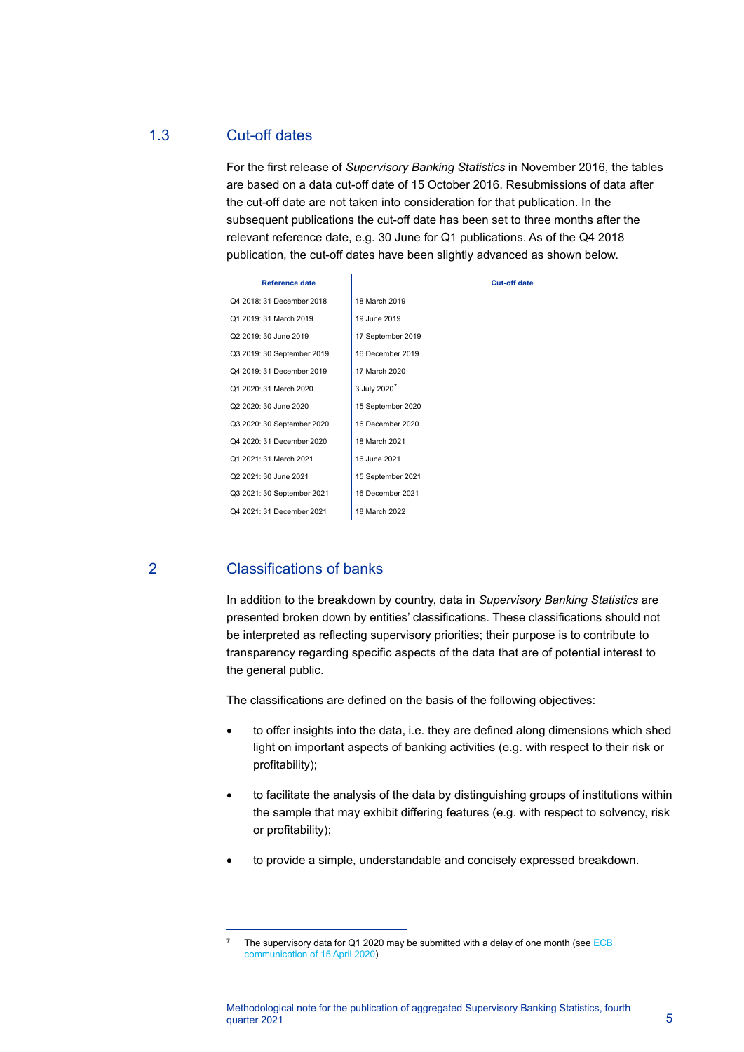## 1.3 Cut-off dates

For the first release of *Supervisory Banking Statistics* in November 2016, the tables are based on a data cut-off date of 15 October 2016. Resubmissions of data after the cut-off date are not taken into consideration for that publication. In the subsequent publications the cut-off date has been set to three months after the relevant reference date, e.g. 30 June for Q1 publications. As of the Q4 2018 publication, the cut-off dates have been slightly advanced as shown below.

| <b>Reference date</b>      | <b>Cut-off date</b>      |
|----------------------------|--------------------------|
| Q4 2018: 31 December 2018  | 18 March 2019            |
| Q1 2019: 31 March 2019     | 19 June 2019             |
| Q2 2019: 30 June 2019      | 17 September 2019        |
| Q3 2019: 30 September 2019 | 16 December 2019         |
| Q4 2019: 31 December 2019  | 17 March 2020            |
| Q1 2020: 31 March 2020     | 3 July 2020 <sup>7</sup> |
| Q2 2020: 30 June 2020      | 15 September 2020        |
| Q3 2020: 30 September 2020 | 16 December 2020         |
| Q4 2020: 31 December 2020  | 18 March 2021            |
| Q1 2021: 31 March 2021     | 16 June 2021             |
| Q2 2021: 30 June 2021      | 15 September 2021        |
| Q3 2021: 30 September 2021 | 16 December 2021         |
| Q4 2021: 31 December 2021  | 18 March 2022            |

# 2 Classifications of banks

In addition to the breakdown by country, data in *Supervisory Banking Statistics* are presented broken down by entities' classifications. These classifications should not be interpreted as reflecting supervisory priorities; their purpose is to contribute to transparency regarding specific aspects of the data that are of potential interest to the general public.

The classifications are defined on the basis of the following objectives:

- to offer insights into the data, i.e. they are defined along dimensions which shed light on important aspects of banking activities (e.g. with respect to their risk or profitability);
- to facilitate the analysis of the data by distinguishing groups of institutions within the sample that may exhibit differing features (e.g. with respect to solvency, risk or profitability);
- to provide a simple, understandable and concisely expressed breakdown.

<span id="page-4-0"></span><sup>&</sup>lt;sup>7</sup> The supervisory data for Q1 2020 may be submitted with a delay of one month (see  $ECB$ [communication of 15 April 2020\)](https://www.bankingsupervision.europa.eu/press/letterstobanks/shared/pdf/2020/ssm.2020_letter_Supervisory_reporting_measures_in_the_context_of_the_coronavirus_COVID-19_pandemic.en.pdf?4a67c38aaaea3182f09951429871dc33)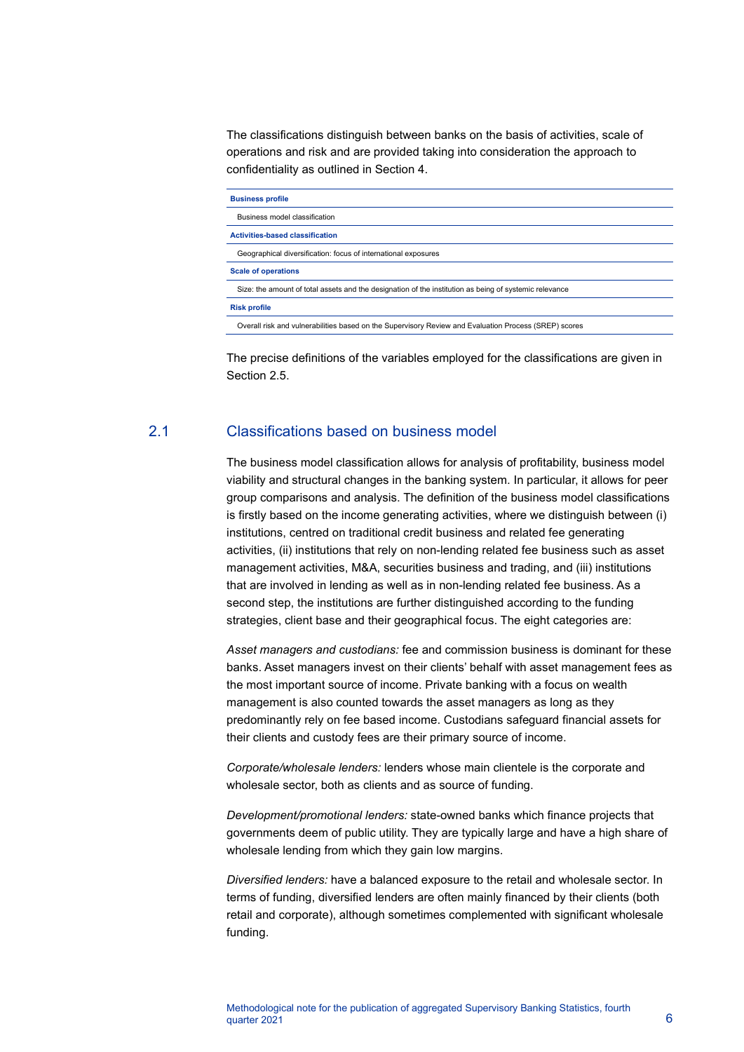The classifications distinguish between banks on the basis of activities, scale of operations and risk and are provided taking into consideration the approach to confidentiality as outlined in Section 4.

| <b>Business profile</b>                                                                                |
|--------------------------------------------------------------------------------------------------------|
| Business model classification                                                                          |
| <b>Activities-based classification</b>                                                                 |
| Geographical diversification: focus of international exposures                                         |
| <b>Scale of operations</b>                                                                             |
| Size: the amount of total assets and the designation of the institution as being of systemic relevance |
| <b>Risk profile</b>                                                                                    |
| Overall risk and vulnerabilities based on the Supervisory Review and Evaluation Process (SREP) scores  |
|                                                                                                        |

The precise definitions of the variables employed for the classifications are given in Section 2.5.

### 2.1 Classifications based on business model

The business model classification allows for analysis of profitability, business model viability and structural changes in the banking system. In particular, it allows for peer group comparisons and analysis. The definition of the business model classifications is firstly based on the income generating activities, where we distinguish between (i) institutions, centred on traditional credit business and related fee generating activities, (ii) institutions that rely on non-lending related fee business such as asset management activities, M&A, securities business and trading, and (iii) institutions that are involved in lending as well as in non-lending related fee business. As a second step, the institutions are further distinguished according to the funding strategies, client base and their geographical focus. The eight categories are:

*Asset managers and custodians:* fee and commission business is dominant for these banks. Asset managers invest on their clients' behalf with asset management fees as the most important source of income. Private banking with a focus on wealth management is also counted towards the asset managers as long as they predominantly rely on fee based income. Custodians safeguard financial assets for their clients and custody fees are their primary source of income.

*Corporate/wholesale lenders:* lenders whose main clientele is the corporate and wholesale sector, both as clients and as source of funding.

*Development/promotional lenders:* state-owned banks which finance projects that governments deem of public utility. They are typically large and have a high share of wholesale lending from which they gain low margins.

*Diversified lenders:* have a balanced exposure to the retail and wholesale sector. In terms of funding, diversified lenders are often mainly financed by their clients (both retail and corporate), although sometimes complemented with significant wholesale funding.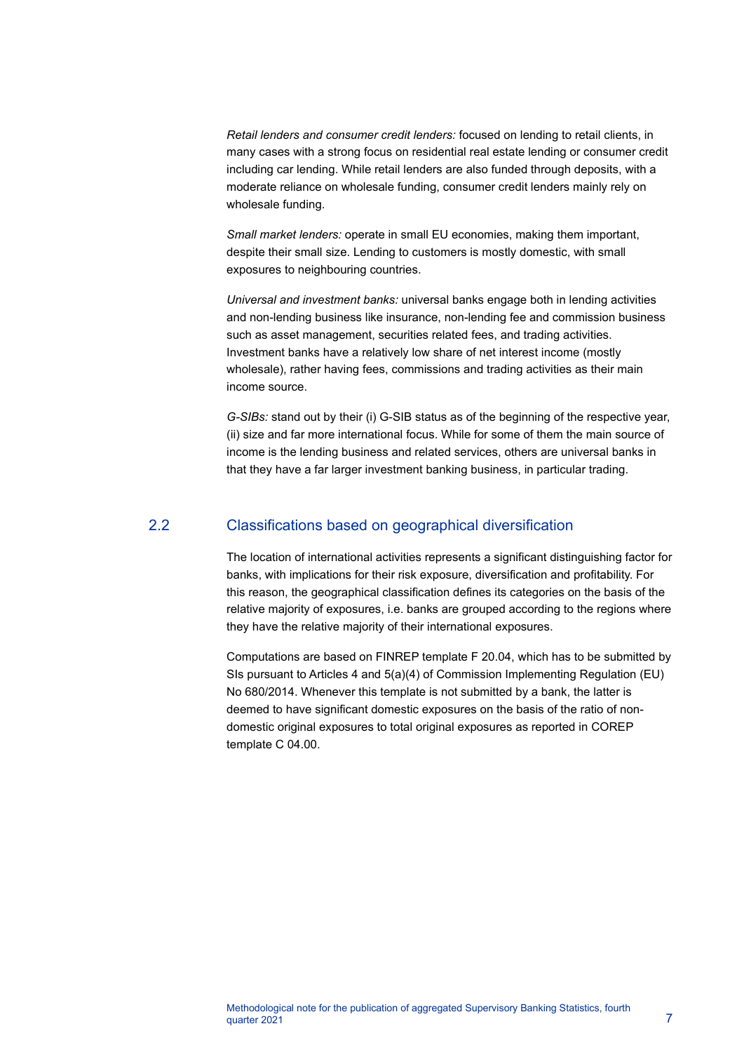*Retail lenders and consumer credit lenders:* focused on lending to retail clients, in many cases with a strong focus on residential real estate lending or consumer credit including car lending. While retail lenders are also funded through deposits, with a moderate reliance on wholesale funding, consumer credit lenders mainly rely on wholesale funding.

*Small market lenders:* operate in small EU economies, making them important, despite their small size. Lending to customers is mostly domestic, with small exposures to neighbouring countries.

*Universal and investment banks:* universal banks engage both in lending activities and non-lending business like insurance, non-lending fee and commission business such as asset management, securities related fees, and trading activities. Investment banks have a relatively low share of net interest income (mostly wholesale), rather having fees, commissions and trading activities as their main income source.

*G-SIBs:* stand out by their (i) G-SIB status as of the beginning of the respective year, (ii) size and far more international focus. While for some of them the main source of income is the lending business and related services, others are universal banks in that they have a far larger investment banking business, in particular trading.

#### 2.2 Classifications based on geographical diversification

The location of international activities represents a significant distinguishing factor for banks, with implications for their risk exposure, diversification and profitability. For this reason, the geographical classification defines its categories on the basis of the relative majority of exposures, i.e. banks are grouped according to the regions where they have the relative majority of their international exposures.

Computations are based on FINREP template F 20.04, which has to be submitted by SIs pursuant to Articles 4 and 5(a)(4) of Commission Implementing Regulation (EU) No 680/2014. Whenever this template is not submitted by a bank, the latter is deemed to have significant domestic exposures on the basis of the ratio of nondomestic original exposures to total original exposures as reported in COREP template C 04.00.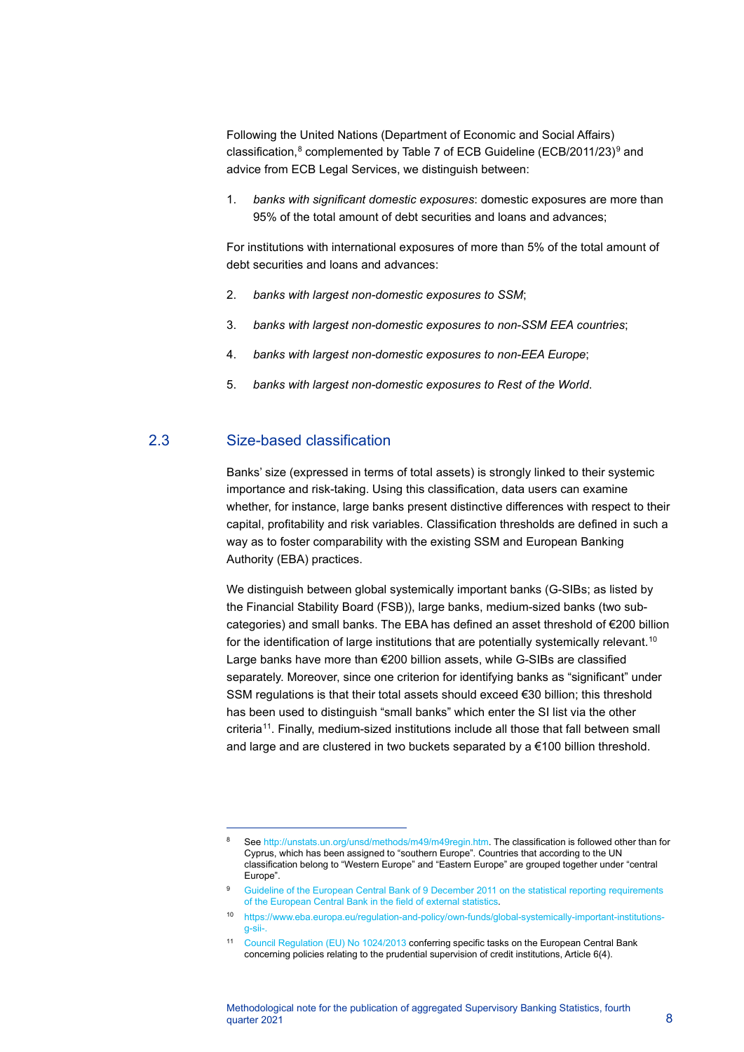Following the United Nations (Department of Economic and Social Affairs) classification, $8$  complemented by Table 7 of ECB Guideline (ECB/2011/23) $9$  and advice from ECB Legal Services, we distinguish between:

1. *banks with significant domestic exposures*: domestic exposures are more than 95% of the total amount of debt securities and loans and advances;

For institutions with international exposures of more than 5% of the total amount of debt securities and loans and advances:

- 2. *banks with largest non-domestic exposures to SSM*;
- 3. *banks with largest non-domestic exposures to non-SSM EEA countries*;
- 4. *banks with largest non-domestic exposures to non-EEA Europe*;
- 5. *banks with largest non-domestic exposures to Rest of the World*.

#### 2.3 Size-based classification

Banks' size (expressed in terms of total assets) is strongly linked to their systemic importance and risk-taking. Using this classification, data users can examine whether, for instance, large banks present distinctive differences with respect to their capital, profitability and risk variables. Classification thresholds are defined in such a way as to foster comparability with the existing SSM and European Banking Authority (EBA) practices.

We distinguish between global systemically important banks (G-SIBs; as listed by the Financial Stability Board (FSB)), large banks, medium-sized banks (two subcategories) and small banks. The EBA has defined an asset threshold of €200 billion for the identification of large institutions that are potentially systemically relevant.<sup>[10](#page-7-2)</sup> Large banks have more than €200 billion assets, while G-SIBs are classified separately. Moreover, since one criterion for identifying banks as "significant" under SSM regulations is that their total assets should exceed €30 billion; this threshold has been used to distinguish "small banks" which enter the SI list via the other criteria[11](#page-7-3). Finally, medium-sized institutions include all those that fall between small and large and are clustered in two buckets separated by a €100 billion threshold.

<span id="page-7-0"></span>Se[e http://unstats.un.org/unsd/methods/m49/m49regin.htm.](http://unstats.un.org/unsd/methods/m49/m49regin.htm) The classification is followed other than for Cyprus, which has been assigned to "southern Europe". Countries that according to the UN classification belong to "Western Europe" and "Eastern Europe" are grouped together under "central Europe".

Guideline of the European Central Bank of 9 December 2011 on the statistical reporting requirements [of the European Central Bank in the field of external statistics.](http://eur-lex.europa.eu/legal-content/EN/TXT/?uri=uriserv:OJ.L_.2012.065.01.0001.01.ENG&toc=OJ:L:2012:065:TOC)

<span id="page-7-2"></span><span id="page-7-1"></span><sup>10</sup> [https://www.eba.europa.eu/regulation-and-policy/own-funds/global-systemically-important-institutions](https://www.eba.europa.eu/regulation-and-policy/own-funds/global-systemically-important-institutions-g-sii-)[g-sii-.](https://www.eba.europa.eu/regulation-and-policy/own-funds/global-systemically-important-institutions-g-sii-)

<span id="page-7-3"></span><sup>11</sup> [Council Regulation \(EU\) No 1024/2013](http://eur-lex.europa.eu/legal-content/EN/TXT/PDF/?uri=CELEX:32013R1024&from=en) conferring specific tasks on the European Central Bank concerning policies relating to the prudential supervision of credit institutions, Article 6(4).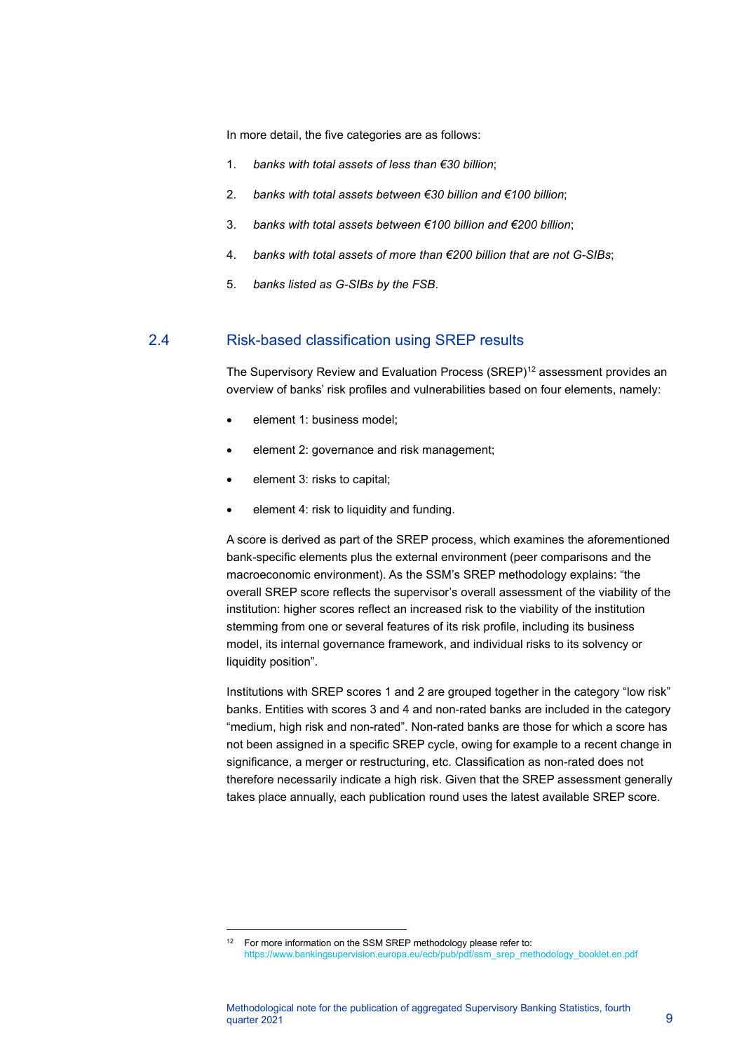In more detail, the five categories are as follows:

- 1. *banks with total assets of less than €30 billion*;
- 2. *banks with total assets between €30 billion and €100 billion*;
- 3. *banks with total assets between €100 billion and €200 billion*;
- 4. *banks with total assets of more than €200 billion that are not G-SIBs*;
- 5. *banks listed as G-SIBs by the FSB*.

## 2.4 Risk-based classification using SREP results

The Supervisory Review and Evaluation Process (SREP)<sup>[12](#page-8-0)</sup> assessment provides an overview of banks' risk profiles and vulnerabilities based on four elements, namely:

- element 1: business model;
- element 2: governance and risk management;
- element 3: risks to capital;
- element 4: risk to liquidity and funding.

A score is derived as part of the SREP process, which examines the aforementioned bank-specific elements plus the external environment (peer comparisons and the macroeconomic environment). As the SSM's SREP methodology explains: "the overall SREP score reflects the supervisor's overall assessment of the viability of the institution: higher scores reflect an increased risk to the viability of the institution stemming from one or several features of its risk profile, including its business model, its internal governance framework, and individual risks to its solvency or liquidity position".

Institutions with SREP scores 1 and 2 are grouped together in the category "low risk" banks. Entities with scores 3 and 4 and non-rated banks are included in the category "medium, high risk and non-rated". Non-rated banks are those for which a score has not been assigned in a specific SREP cycle, owing for example to a recent change in significance, a merger or restructuring, etc. Classification as non-rated does not therefore necessarily indicate a high risk. Given that the SREP assessment generally takes place annually, each publication round uses the latest available SREP score.

<span id="page-8-0"></span><sup>&</sup>lt;sup>12</sup> For more information on the SSM SREP methodology please refer to: [https://www.bankingsupervision.europa.eu/ecb/pub/pdf/ssm\\_srep\\_methodology\\_booklet.en.pdf](https://www.bankingsupervision.europa.eu/ecb/pub/pdf/ssm_srep_methodology_booklet.en.pdf)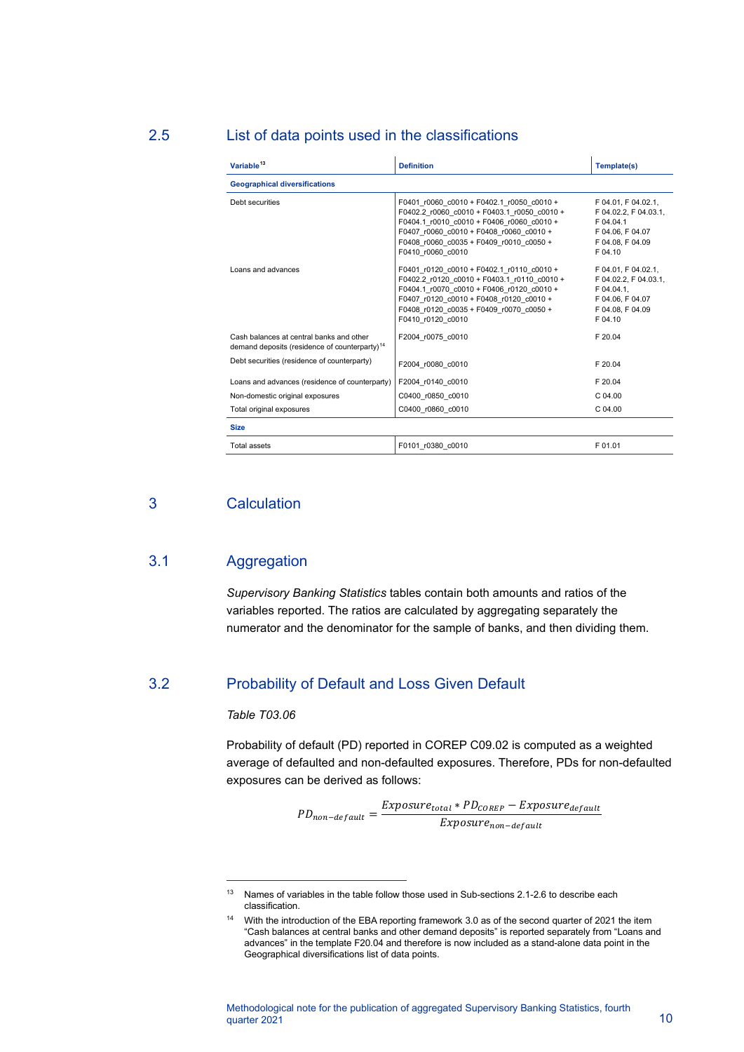#### 2.5 List of data points used in the classifications

| Variable <sup>13</sup>                                                                                | <b>Definition</b>                                                                                                                                                                                                                                | Template(s)                                                                                                   |  |  |
|-------------------------------------------------------------------------------------------------------|--------------------------------------------------------------------------------------------------------------------------------------------------------------------------------------------------------------------------------------------------|---------------------------------------------------------------------------------------------------------------|--|--|
| <b>Geographical diversifications</b>                                                                  |                                                                                                                                                                                                                                                  |                                                                                                               |  |  |
| Debt securities                                                                                       | F0401 r0060 c0010 + F0402.1 r0050 c0010 +<br>F0402.2 r0060 c0010 + F0403.1 r0050 c0010 +<br>F0404.1 r0010 c0010 + F0406 r0060 c0010 +<br>F0407 r0060 c0010 + F0408 r0060 c0010 +<br>F0408 r0060 c0035 + F0409 r0010 c0050 +<br>F0410 r0060 c0010 | F 04.01, F 04.02.1,<br>F 04.02.2. F 04.03.1.<br>F 04.04.1<br>F 04.06, F 04.07<br>F 04.08. F 04.09<br>F 04.10  |  |  |
| Loans and advances                                                                                    | F0401 r0120 c0010 + F0402.1 r0110 c0010 +<br>F0402.2 r0120 c0010 + F0403.1 r0110 c0010 +<br>F0404.1 r0070 c0010 + F0406 r0120 c0010 +<br>F0407 r0120 c0010 + F0408 r0120 c0010 +<br>F0408 r0120 c0035 + F0409 r0070 c0050 +<br>F0410 r0120 c0010 | F 04.01, F 04.02.1,<br>F 04.02.2, F 04.03.1,<br>F 04.04.1.<br>F 04.06, F 04.07<br>F 04.08. F 04.09<br>F 04.10 |  |  |
| Cash balances at central banks and other<br>demand deposits (residence of counterparty) <sup>14</sup> | F2004 r0075 c0010                                                                                                                                                                                                                                | F 20.04                                                                                                       |  |  |
| Debt securities (residence of counterparty)                                                           | F2004 r0080 c0010                                                                                                                                                                                                                                | F 20.04                                                                                                       |  |  |
| Loans and advances (residence of counterparty)                                                        | F2004 r0140 c0010                                                                                                                                                                                                                                | F 20.04                                                                                                       |  |  |
| Non-domestic original exposures                                                                       | C0400 r0850 c0010                                                                                                                                                                                                                                | C.04.00                                                                                                       |  |  |
| Total original exposures                                                                              | C0400 r0860 c0010                                                                                                                                                                                                                                | C.04.00                                                                                                       |  |  |
| <b>Size</b>                                                                                           |                                                                                                                                                                                                                                                  |                                                                                                               |  |  |
| Total assets                                                                                          | F0101 r0380 c0010                                                                                                                                                                                                                                | F 01.01                                                                                                       |  |  |

# 3 Calculation

#### 3.1 Aggregation

*Supervisory Banking Statistics* tables contain both amounts and ratios of the variables reported. The ratios are calculated by aggregating separately the numerator and the denominator for the sample of banks, and then dividing them.

#### 3.2 Probability of Default and Loss Given Default

#### *Table T03.06*

Probability of default (PD) reported in COREP C09.02 is computed as a weighted average of defaulted and non-defaulted exposures. Therefore, PDs for non-defaulted exposures can be derived as follows:

 $PD_{non-default} = \frac{EXPOSure_{total} * PD_{COREP} - EXPOSure_{default}}{Exposure_{non-default}}$ 

<span id="page-9-0"></span><sup>&</sup>lt;sup>13</sup> Names of variables in the table follow those used in Sub-sections 2.1-2.6 to describe each classification.

<span id="page-9-1"></span><sup>14</sup> With the introduction of the EBA reporting framework 3.0 as of the second quarter of 2021 the item "Cash balances at central banks and other demand deposits" is reported separately from "Loans and advances" in the template F20.04 and therefore is now included as a stand-alone data point in the Geographical diversifications list of data points.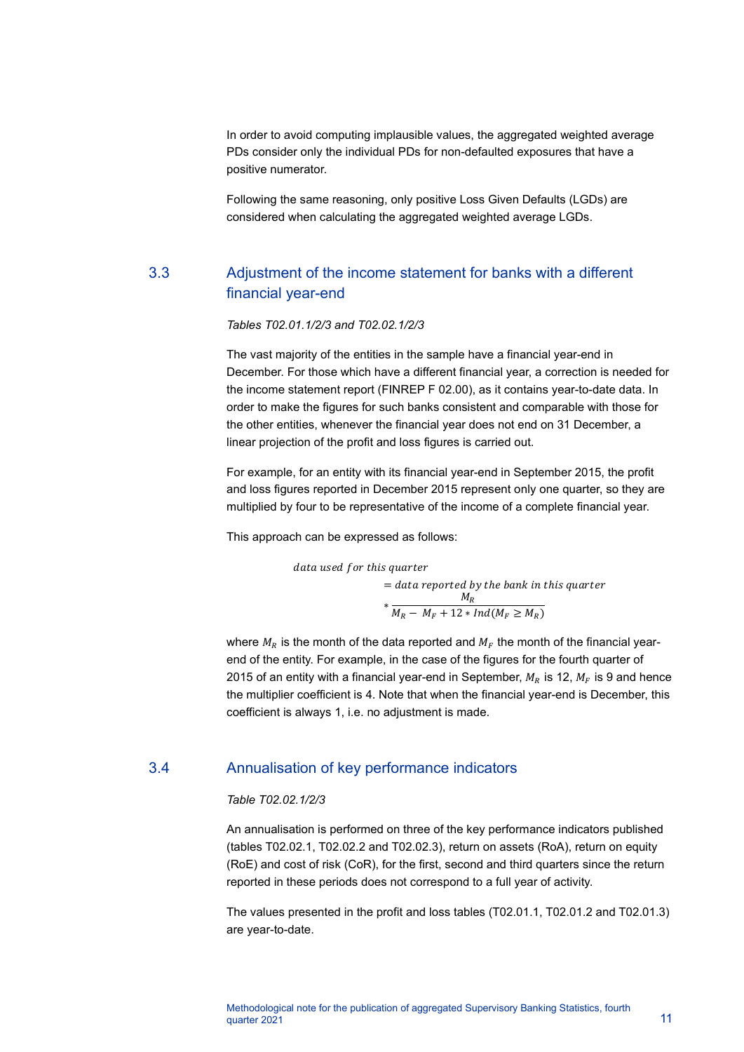In order to avoid computing implausible values, the aggregated weighted average PDs consider only the individual PDs for non-defaulted exposures that have a positive numerator.

Following the same reasoning, only positive Loss Given Defaults (LGDs) are considered when calculating the aggregated weighted average LGDs.

# 3.3 Adjustment of the income statement for banks with a different financial year-end

*Tables T02.01.1/2/3 and T02.02.1/2/3*

The vast majority of the entities in the sample have a financial year-end in December. For those which have a different financial year, a correction is needed for the income statement report (FINREP F 02.00), as it contains year-to-date data. In order to make the figures for such banks consistent and comparable with those for the other entities, whenever the financial year does not end on 31 December, a linear projection of the profit and loss figures is carried out.

For example, for an entity with its financial year-end in September 2015, the profit and loss figures reported in December 2015 represent only one quarter, so they are multiplied by four to be representative of the income of a complete financial year.

This approach can be expressed as follows:

data used for this quarter  
\n= data reported by the bank in this quarter  
\n
$$
* \frac{M_R}{M_R - M_F + 12 * Ind(M_F \geq M_R)}
$$

where  $M_R$  is the month of the data reported and  $M_F$  the month of the financial yearend of the entity. For example, in the case of the figures for the fourth quarter of 2015 of an entity with a financial year-end in September,  $M_R$  is 12,  $M_F$  is 9 and hence the multiplier coefficient is 4. Note that when the financial year-end is December, this coefficient is always 1, i.e. no adjustment is made.

#### 3.4 Annualisation of key performance indicators

#### *Table T02.02.1/2/3*

An annualisation is performed on three of the key performance indicators published (tables T02.02.1, T02.02.2 and T02.02.3), return on assets (RoA), return on equity (RoE) and cost of risk (CoR), for the first, second and third quarters since the return reported in these periods does not correspond to a full year of activity.

The values presented in the profit and loss tables (T02.01.1, T02.01.2 and T02.01.3) are year-to-date.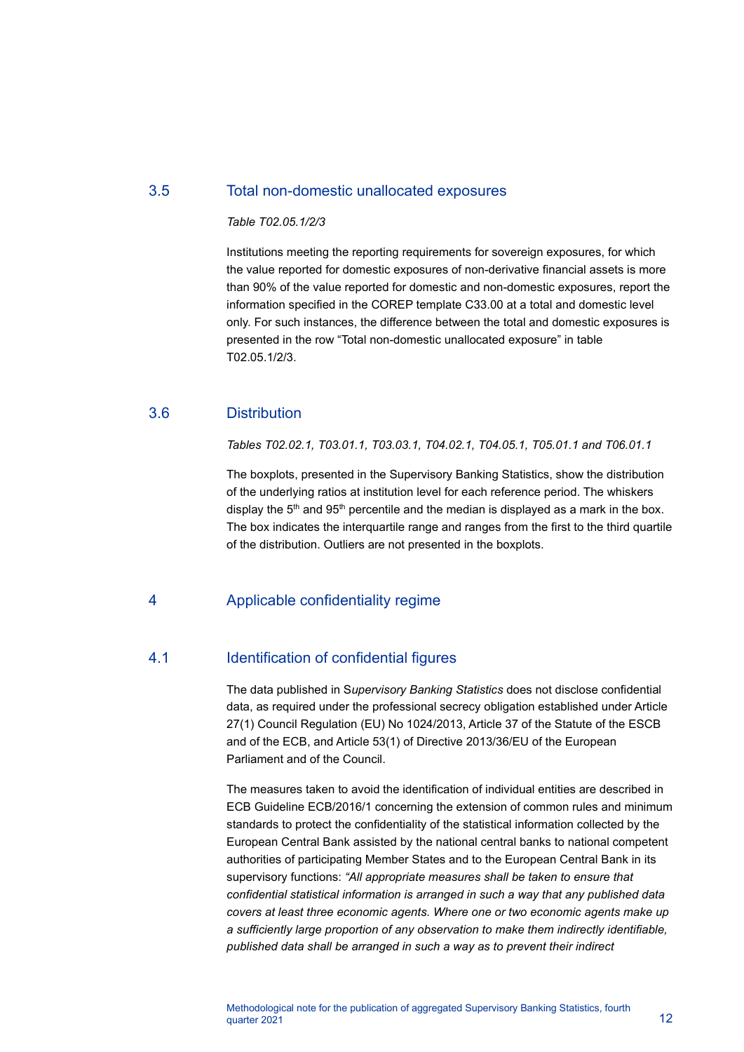#### 3.5 Total non-domestic unallocated exposures

#### *Table T02.05.1/2/3*

Institutions meeting the reporting requirements for sovereign exposures, for which the value reported for domestic exposures of non-derivative financial assets is more than 90% of the value reported for domestic and non-domestic exposures, report the information specified in the COREP template C33.00 at a total and domestic level only. For such instances, the difference between the total and domestic exposures is presented in the row "Total non-domestic unallocated exposure" in table T02.05.1/2/3.

#### 3.6 Distribution

*Tables T02.02.1, T03.01.1, T03.03.1, T04.02.1, T04.05.1, T05.01.1 and T06.01.1*

The boxplots, presented in the Supervisory Banking Statistics, show the distribution of the underlying ratios at institution level for each reference period. The whiskers display the  $5<sup>th</sup>$  and  $95<sup>th</sup>$  percentile and the median is displayed as a mark in the box. The box indicates the interquartile range and ranges from the first to the third quartile of the distribution. Outliers are not presented in the boxplots.

#### 4 Applicable confidentiality regime

#### 4.1 **Identification of confidential figures**

The data published in S*upervisory Banking Statistics* does not disclose confidential data, as required under the professional secrecy obligation established under Article 27(1) Council Regulation (EU) No 1024/2013, Article 37 of the Statute of the ESCB and of the ECB, and Article 53(1) of Directive 2013/36/EU of the European Parliament and of the Council.

The measures taken to avoid the identification of individual entities are described in ECB Guideline ECB/2016/1 concerning the extension of common rules and minimum standards to protect the confidentiality of the statistical information collected by the European Central Bank assisted by the national central banks to national competent authorities of participating Member States and to the European Central Bank in its supervisory functions: *"All appropriate measures shall be taken to ensure that confidential statistical information is arranged in such a way that any published data covers at least three economic agents. Where one or two economic agents make up a sufficiently large proportion of any observation to make them indirectly identifiable, published data shall be arranged in such a way as to prevent their indirect*